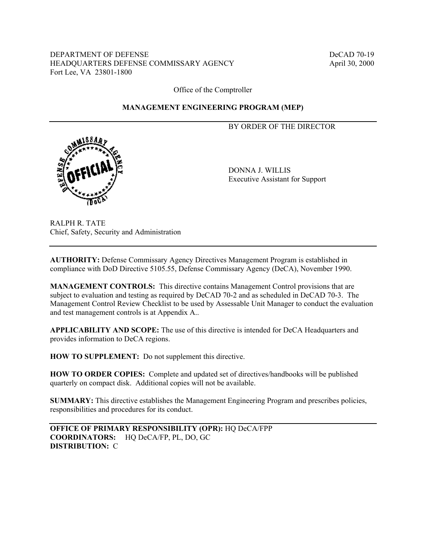#### DEPARTMENT OF DEFENSE DECAD 70-19 HEADQUARTERS DEFENSE COMMISSARY AGENCY April 30, 2000 Fort Lee, VA 23801-1800

Office of the Comptroller

#### **MANAGEMENT ENGINEERING PROGRAM (MEP)**

BY ORDER OF THE DIRECTOR



DONNA J. WILLIS Executive Assistant for Support

RALPH R. TATE Chief, Safety, Security and Administration

**AUTHORITY:** Defense Commissary Agency Directives Management Program is established in compliance with DoD Directive 5105.55, Defense Commissary Agency (DeCA), November 1990.

**MANAGEMENT CONTROLS:** This directive contains Management Control provisions that are subject to evaluation and testing as required by DeCAD 70-2 and as scheduled in DeCAD 70-3. The Management Control Review Checklist to be used by Assessable Unit Manager to conduct the evaluation and test management controls is at Appendix A..

**APPLICABILITY AND SCOPE:** The use of this directive is intended for DeCA Headquarters and provides information to DeCA regions.

**HOW TO SUPPLEMENT:** Do not supplement this directive.

**HOW TO ORDER COPIES:** Complete and updated set of directives/handbooks will be published quarterly on compact disk. Additional copies will not be available.

**SUMMARY:** This directive establishes the Management Engineering Program and prescribes policies, responsibilities and procedures for its conduct.

```
OFFICE OF PRIMARY RESPONSIBILITY (OPR): HQ DeCA/FPP 
COORDINATORS: HQ DeCA/FP, PL, DO, GC 
DISTRIBUTION: C
```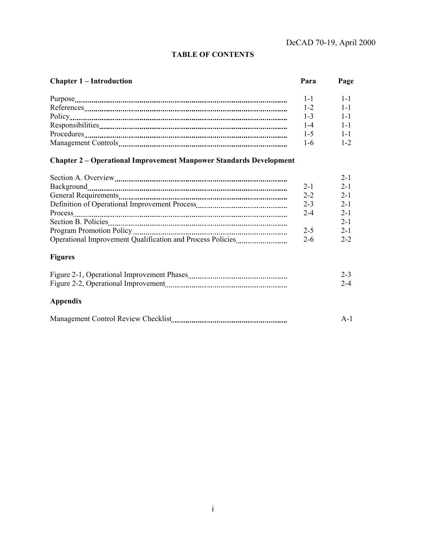### **TABLE OF CONTENTS**

## **Chapter 1 – Introduction Para Page 2014**

| Para | Pa |
|------|----|
|      |    |

## **Chapter 2 – Operational Improvement Manpower Standards Development**

| $2 - 1$ | $2 - 1$ |
|---------|---------|
| $2-2$   | $2 - 1$ |
| $2 - 3$ | $2 - 1$ |
| $2 - 4$ | $2 - 1$ |
|         | $2 - 1$ |
| $2 - 5$ | $2 - 1$ |
| $2 - 6$ | $2-2$   |

## **Figures**

| Figure 2-1, Operational Improvement Phases |  |
|--------------------------------------------|--|
| Figure 2-2, Operational Improvement        |  |

# **Appendix**

| Management Control Review Checklist |  |
|-------------------------------------|--|
|-------------------------------------|--|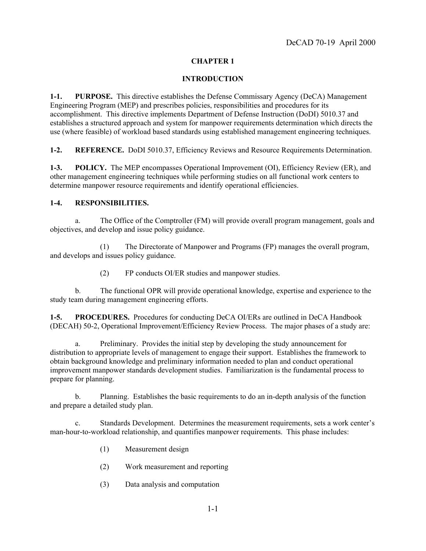## **CHAPTER 1**

### **INTRODUCTION**

**1-1. PURPOSE.** This directive establishes the Defense Commissary Agency (DeCA) Management Engineering Program (MEP) and prescribes policies, responsibilities and procedures for its accomplishment. This directive implements Department of Defense Instruction (DoDI) 5010.37 and establishes a structured approach and system for manpower requirements determination which directs the use (where feasible) of workload based standards using established management engineering techniques.

**1-2. REFERENCE.** DoDI 5010.37, Efficiency Reviews and Resource Requirements Determination.

**1-3. POLICY.** The MEP encompasses Operational Improvement (OI), Efficiency Review (ER), and other management engineering techniques while performing studies on all functional work centers to determine manpower resource requirements and identify operational efficiencies.

### **1-4. RESPONSIBILITIES.**

a. The Office of the Comptroller (FM) will provide overall program management, goals and objectives, and develop and issue policy guidance.

(1) The Directorate of Manpower and Programs (FP) manages the overall program, and develops and issues policy guidance.

(2) FP conducts OI/ER studies and manpower studies.

b. The functional OPR will provide operational knowledge, expertise and experience to the study team during management engineering efforts.

**1-5. PROCEDURES.** Procedures for conducting DeCA OI/ERs are outlined in DeCA Handbook (DECAH) 50-2, Operational Improvement/Efficiency Review Process. The major phases of a study are:

a. Preliminary. Provides the initial step by developing the study announcement for distribution to appropriate levels of management to engage their support. Establishes the framework to obtain background knowledge and preliminary information needed to plan and conduct operational improvement manpower standards development studies. Familiarization is the fundamental process to prepare for planning.

b. Planning. Establishes the basic requirements to do an in-depth analysis of the function and prepare a detailed study plan.

c. Standards Development. Determines the measurement requirements, sets a work center's man-hour-to-workload relationship, and quantifies manpower requirements. This phase includes:

- (1) Measurement design
- (2) Work measurement and reporting
- (3) Data analysis and computation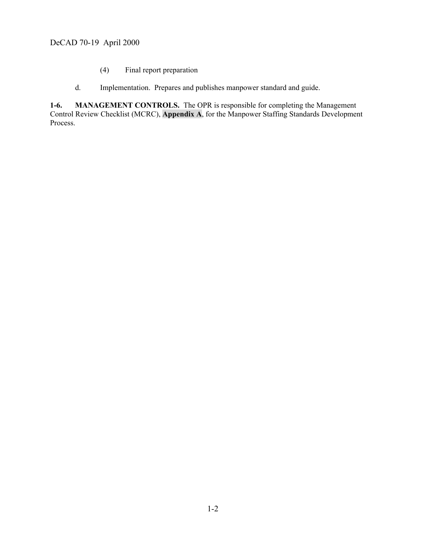- (4) Final report preparation
- d. Implementation. Prepares and publishes manpower standard and guide.

**1-6. MANAGEMENT CONTROLS.** The OPR is responsible for completing the Management Control Review Checklist (MCRC), **Appendix A**, for the Manpower Staffing Standards Development Process.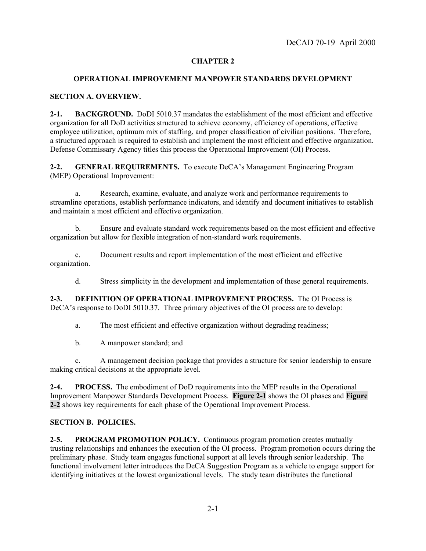## **CHAPTER 2**

### **OPERATIONAL IMPROVEMENT MANPOWER STANDARDS DEVELOPMENT**

### **SECTION A. OVERVIEW.**

2-1. BACKGROUND. DoDI 5010.37 mandates the establishment of the most efficient and effective organization for all DoD activities structured to achieve economy, efficiency of operations, effective employee utilization, optimum mix of staffing, and proper classification of civilian positions. Therefore, a structured approach is required to establish and implement the most efficient and effective organization. Defense Commissary Agency titles this process the Operational Improvement (OI) Process.

**2-2. GENERAL REQUIREMENTS.** To execute DeCA's Management Engineering Program (MEP) Operational Improvement:

a. Research, examine, evaluate, and analyze work and performance requirements to streamline operations, establish performance indicators, and identify and document initiatives to establish and maintain a most efficient and effective organization.

b. Ensure and evaluate standard work requirements based on the most efficient and effective organization but allow for flexible integration of non-standard work requirements.

c. Document results and report implementation of the most efficient and effective organization.

d. Stress simplicity in the development and implementation of these general requirements.

**2-3. DEFINITION OF OPERATIONAL IMPROVEMENT PROCESS.** The OI Process is DeCA's response to DoDI 5010.37. Three primary objectives of the OI process are to develop:

a. The most efficient and effective organization without degrading readiness;

b. A manpower standard; and

c. A management decision package that provides a structure for senior leadership to ensure making critical decisions at the appropriate level.

**2-4. PROCESS.** The embodiment of DoD requirements into the MEP results in the Operational Improvement Manpower Standards Development Process. **Figure 2-1** shows the OI phases and **Figure 2-2** shows key requirements for each phase of the Operational Improvement Process.

#### **SECTION B. POLICIES.**

**2-5. PROGRAM PROMOTION POLICY.** Continuous program promotion creates mutually trusting relationships and enhances the execution of the OI process. Program promotion occurs during the preliminary phase. Study team engages functional support at all levels through senior leadership. The functional involvement letter introduces the DeCA Suggestion Program as a vehicle to engage support for identifying initiatives at the lowest organizational levels. The study team distributes the functional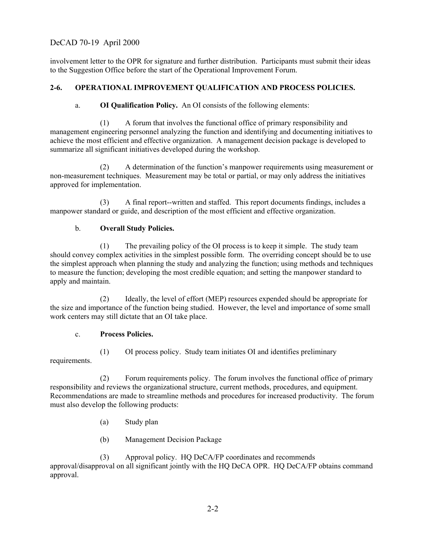involvement letter to the OPR for signature and further distribution. Participants must submit their ideas to the Suggestion Office before the start of the Operational Improvement Forum.

## **2-6. OPERATIONAL IMPROVEMENT QUALIFICATION AND PROCESS POLICIES.**

### a. **OI Qualification Policy.** An OI consists of the following elements:

(1) A forum that involves the functional office of primary responsibility and management engineering personnel analyzing the function and identifying and documenting initiatives to achieve the most efficient and effective organization. A management decision package is developed to summarize all significant initiatives developed during the workshop.

(2) A determination of the function's manpower requirements using measurement or non-measurement techniques. Measurement may be total or partial, or may only address the initiatives approved for implementation.

(3) A final report--written and staffed. This report documents findings, includes a manpower standard or guide, and description of the most efficient and effective organization.

### b. **Overall Study Policies.**

(1) The prevailing policy of the OI process is to keep it simple. The study team should convey complex activities in the simplest possible form. The overriding concept should be to use the simplest approach when planning the study and analyzing the function; using methods and techniques to measure the function; developing the most credible equation; and setting the manpower standard to apply and maintain.

(2) Ideally, the level of effort (MEP) resources expended should be appropriate for the size and importance of the function being studied. However, the level and importance of some small work centers may still dictate that an OI take place.

### c. **Process Policies.**

(1) OI process policy. Study team initiates OI and identifies preliminary requirements.

(2) Forum requirements policy. The forum involves the functional office of primary responsibility and reviews the organizational structure, current methods, procedures, and equipment. Recommendations are made to streamline methods and procedures for increased productivity. The forum must also develop the following products:

- (a) Study plan
- (b) Management Decision Package

(3) Approval policy. HQ DeCA/FP coordinates and recommends approval/disapproval on all significant jointly with the HQ DeCA OPR. HQ DeCA/FP obtains command approval.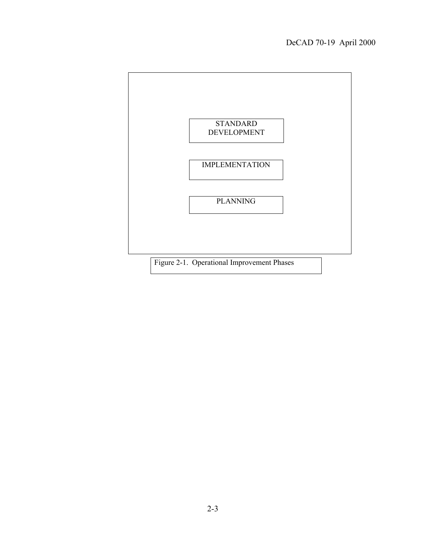| <b>STANDARD</b>                            |  |
|--------------------------------------------|--|
| <b>DEVELOPMENT</b>                         |  |
|                                            |  |
|                                            |  |
|                                            |  |
|                                            |  |
| <b>IMPLEMENTATION</b>                      |  |
|                                            |  |
|                                            |  |
|                                            |  |
|                                            |  |
| <b>PLANNING</b>                            |  |
|                                            |  |
|                                            |  |
|                                            |  |
|                                            |  |
|                                            |  |
|                                            |  |
|                                            |  |
|                                            |  |
| Figure 2-1. Operational Improvement Phases |  |
|                                            |  |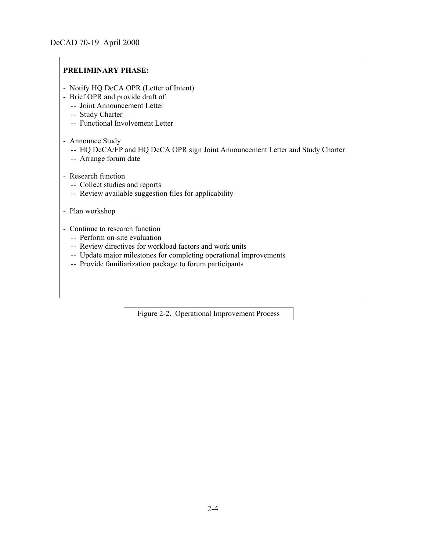### **PRELIMINARY PHASE:**

- Notify HQ DeCA OPR (Letter of Intent)
- Brief OPR and provide draft of:
	- -- Joint Announcement Letter
	- -- Study Charter
	- -- Functional Involvement Letter
- Announce Study
- -- HQ DeCA/FP and HQ DeCA OPR sign Joint Announcement Letter and Study Charter
- -- Arrange forum date
- Research function
	- -- Collect studies and reports
	- -- Review available suggestion files for applicability
- Plan workshop
- Continue to research function
	- -- Perform on-site evaluation
	- -- Review directives for workload factors and work units
	- -- Update major milestones for completing operational improvements
	- -- Provide familiarization package to forum participants

Figure 2-2. Operational Improvement Process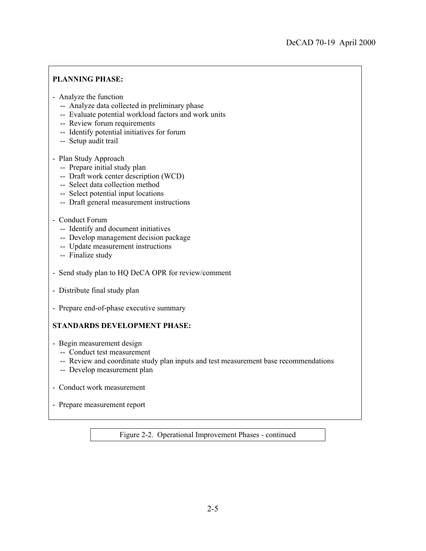## **PLANNING PHASE:**

- Analyze the function
	- -- Analyze data collected in preliminary phase
	- -- Evaluate potential workload factors and work units
	- -- Review forum requirements
	- -- Identify potential initiatives for forum
	- -- Setup audit trail
- Plan Study Approach
	- -- Prepare initial study plan
	- -- Draft work center description (WCD)
	- -- Select data collection method
	- -- Select potential input locations
	- -- Draft general measurement instructions

#### - Conduct Forum

- -- Identify and document initiatives
- -- Develop management decision package
- -- Update measurement instructions
- -- Finalize study
- Send study plan to HQ DeCA OPR for review/comment
- Distribute final study plan
- Prepare end-of-phase executive summary

### **STANDARDS DEVELOPMENT PHASE:**

- Begin measurement design
	- -- Conduct test measurement
	- -- Review and coordinate study plan inputs and test measurement base recommendations
	- -- Develop measurement plan
- Conduct work measurement
- Prepare measurement report

Figure 2-2. Operational Improvement Phases - continued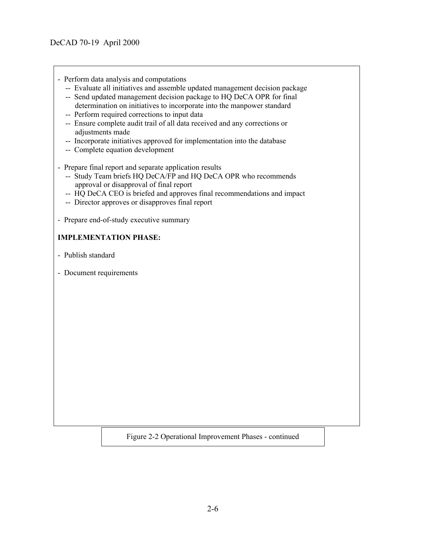- Perform data analysis and computations
	- -- Evaluate all initiatives and assemble updated management decision package
	- -- Send updated management decision package to HQ DeCA OPR for final determination on initiatives to incorporate into the manpower standard
	- -- Perform required corrections to input data
	- -- Ensure complete audit trail of all data received and any corrections or adjustments made
	- -- Incorporate initiatives approved for implementation into the database
	- -- Complete equation development
- Prepare final report and separate application results
	- -- Study Team briefs HQ DeCA/FP and HQ DeCA OPR who recommends approval or disapproval of final report
	- -- HQ DeCA CEO is briefed and approves final recommendations and impact
	- -- Director approves or disapproves final report
- Prepare end-of-study executive summary

## **IMPLEMENTATION PHASE:**

- Publish standard
- Document requirements

Figure 2-2 Operational Improvement Phases - continued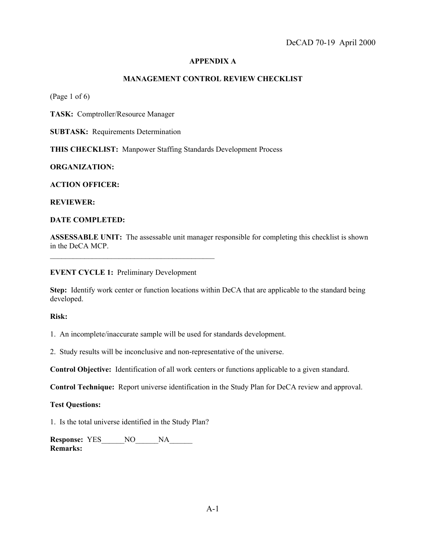### **APPENDIX A**

#### **MANAGEMENT CONTROL REVIEW CHECKLIST**

(Page 1 of 6)

**TASK:** Comptroller/Resource Manager

**SUBTASK:** Requirements Determination

**THIS CHECKLIST:** Manpower Staffing Standards Development Process

**ORGANIZATION:**

**ACTION OFFICER:**

**REVIEWER:**

#### **DATE COMPLETED:**

**ASSESSABLE UNIT:** The assessable unit manager responsible for completing this checklist is shown in the DeCA MCP.

#### **EVENT CYCLE 1:** Preliminary Development

 $\mathcal{L}_\text{max}$  and the contract of the contract of the contract of the contract of the contract of the contract of the contract of the contract of the contract of the contract of the contract of the contract of the contrac

**Step:** Identify work center or function locations within DeCA that are applicable to the standard being developed.

#### **Risk:**

1. An incomplete/inaccurate sample will be used for standards development.

2. Study results will be inconclusive and non-representative of the universe.

**Control Objective:** Identification of all work centers or functions applicable to a given standard.

**Control Technique:** Report universe identification in the Study Plan for DeCA review and approval.

#### **Test Questions:**

1. Is the total universe identified in the Study Plan?

**Response:** YES \_\_\_\_NO \_\_\_\_NA **Remarks:**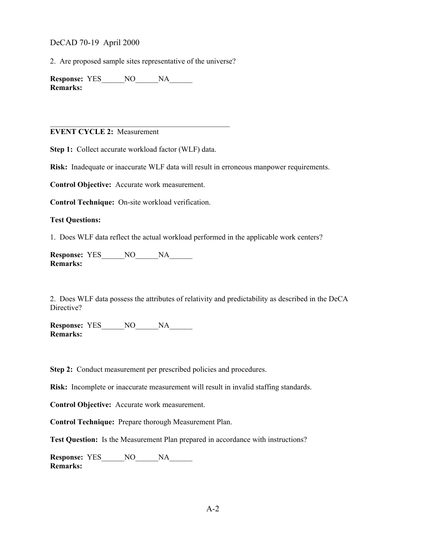2. Are proposed sample sites representative of the universe?

**Response:** YES\_\_\_\_\_NO\_\_\_\_\_NA\_\_\_\_\_\_\_ **Remarks:**

**EVENT CYCLE 2:** Measurement

**Step 1:** Collect accurate workload factor (WLF) data.

 $\mathcal{L}_\text{max}$  and the contract of the contract of the contract of the contract of the contract of the contract of the contract of the contract of the contract of the contract of the contract of the contract of the contrac

**Risk:** Inadequate or inaccurate WLF data will result in erroneous manpower requirements.

**Control Objective:** Accurate work measurement.

**Control Technique:** On-site workload verification.

#### **Test Questions:**

1. Does WLF data reflect the actual workload performed in the applicable work centers?

**Response:** YES \_\_\_\_NO \_\_\_\_NA **Remarks:**

2. Does WLF data possess the attributes of relativity and predictability as described in the DeCA Directive?

**Response:** YES\_\_\_\_\_NO\_\_\_\_\_NA\_\_\_\_\_\_ **Remarks:**

**Step 2:** Conduct measurement per prescribed policies and procedures.

**Risk:** Incomplete or inaccurate measurement will result in invalid staffing standards.

**Control Objective:** Accurate work measurement.

**Control Technique:** Prepare thorough Measurement Plan.

**Test Question:** Is the Measurement Plan prepared in accordance with instructions?

**Response:** YES \_\_\_\_NO \_\_\_\_NA **Remarks:**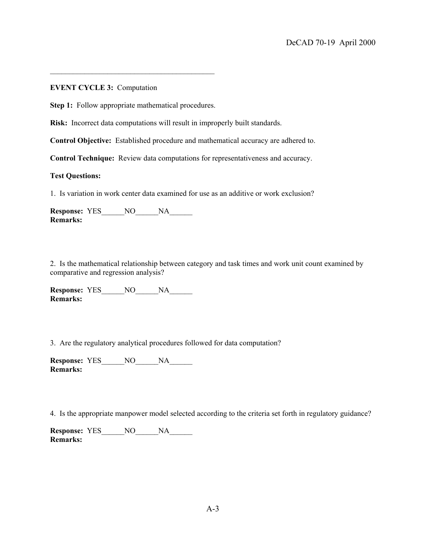**EVENT CYCLE 3:** Computation

**Step 1:** Follow appropriate mathematical procedures.

 $\_$ 

**Risk:** Incorrect data computations will result in improperly built standards.

**Control Objective:** Established procedure and mathematical accuracy are adhered to.

**Control Technique:** Review data computations for representativeness and accuracy.

#### **Test Questions:**

1. Is variation in work center data examined for use as an additive or work exclusion?

**Response:** YES\_\_\_\_\_NO\_\_\_\_\_NA\_\_\_\_\_\_ **Remarks:**

2. Is the mathematical relationship between category and task times and work unit count examined by comparative and regression analysis?

**Response:** YES\_\_\_\_\_NO\_\_\_\_\_NA\_\_\_\_\_\_ **Remarks:**

3. Are the regulatory analytical procedures followed for data computation?

**Response:** YES \_\_\_\_NO \_\_\_\_NA **Remarks:**

4. Is the appropriate manpower model selected according to the criteria set forth in regulatory guidance?

**Response:** YES\_\_\_\_\_\_NO\_\_\_\_\_\_NA\_\_\_\_\_\_ **Remarks:**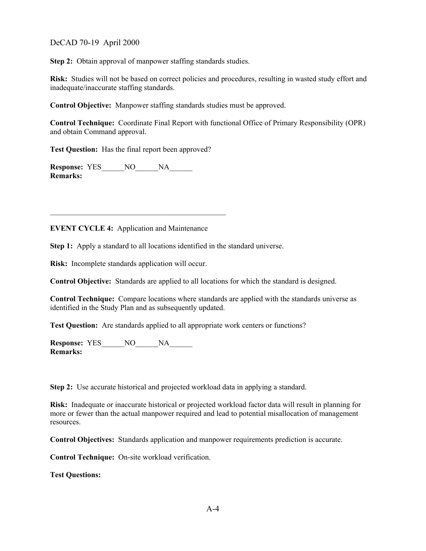**Step 2:** Obtain approval of manpower staffing standards studies.

**Risk:** Studies will not be based on correct policies and procedures, resulting in wasted study effort and inadequate/inaccurate staffing standards.

**Control Objective:** Manpower staffing standards studies must be approved.

**Control Technique:** Coordinate Final Report with functional Office of Primary Responsibility (OPR) and obtain Command approval.

**Test Question:** Has the final report been approved?

**Response:** YES\_\_\_\_\_NO\_\_\_\_\_NA\_\_\_\_\_\_ **Remarks:**

**EVENT CYCLE 4:** Application and Maintenance

 $\mathcal{L}_\text{max}$  and the contract of the contract of the contract of the contract of the contract of the contract of the contract of the contract of the contract of the contract of the contract of the contract of the contrac

**Step 1:** Apply a standard to all locations identified in the standard universe.

**Risk:** Incomplete standards application will occur.

**Control Objective:** Standards are applied to all locations for which the standard is designed.

**Control Technique:** Compare locations where standards are applied with the standards universe as identified in the Study Plan and as subsequently updated.

**Test Question:** Are standards applied to all appropriate work centers or functions?

**Response:** YES\_\_\_\_\_NO\_\_\_\_\_NA\_\_\_\_\_\_ **Remarks:**

**Step 2:** Use accurate historical and projected workload data in applying a standard.

**Risk:** Inadequate or inaccurate historical or projected workload factor data will result in planning for more or fewer than the actual manpower required and lead to potential misallocation of management resources.

**Control Objectives:** Standards application and manpower requirements prediction is accurate.

**Control Technique:** On-site workload verification.

**Test Questions:**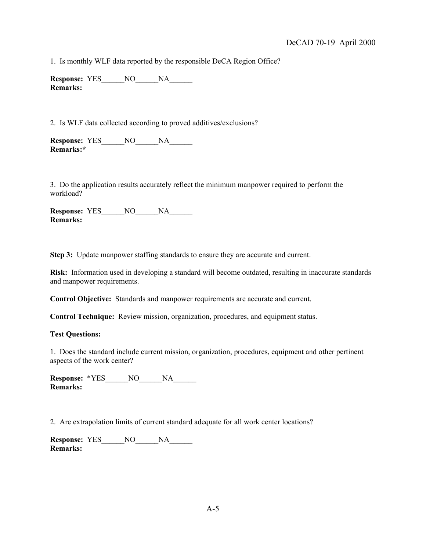1. Is monthly WLF data reported by the responsible DeCA Region Office?

**Response:** YES\_\_\_\_\_\_NO\_\_\_\_\_\_NA\_\_ **Remarks:**

2. Is WLF data collected according to proved additives/exclusions?

**Response:** YES\_\_\_\_\_NO\_\_\_\_\_NA\_\_\_\_\_\_ **Remarks:\***

3. Do the application results accurately reflect the minimum manpower required to perform the workload?

**Response:** YES\_\_\_\_\_NO\_\_\_\_\_NA\_\_\_\_\_\_ **Remarks:**

**Step 3:** Update manpower staffing standards to ensure they are accurate and current.

**Risk:** Information used in developing a standard will become outdated, resulting in inaccurate standards and manpower requirements.

**Control Objective:** Standards and manpower requirements are accurate and current.

**Control Technique:** Review mission, organization, procedures, and equipment status.

#### **Test Questions:**

1. Does the standard include current mission, organization, procedures, equipment and other pertinent aspects of the work center?

**Response:** \*YES NO NA **Remarks:**

2. Are extrapolation limits of current standard adequate for all work center locations?

**Response:** YES \_\_\_\_NO \_\_\_\_NA **Remarks:**